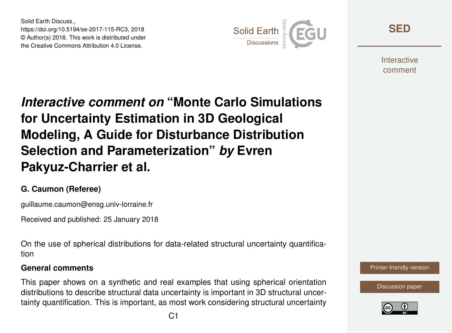Solid Earth Discuss., https://doi.org/10.5194/se-2017-115-RC3, 2018 © Author(s) 2018. This work is distributed under the Creative Commons Attribution 4.0 License.



**[SED](https://www.solid-earth-discuss.net/)**

**Interactive** comment

*Interactive comment on* **"Monte Carlo Simulations for Uncertainty Estimation in 3D Geological Modeling, A Guide for Disturbance Distribution Selection and Parameterization"** *by* **Evren Pakyuz-Charrier et al.**

### **G. Caumon (Referee)**

guillaume.caumon@ensg.univ-lorraine.fr

Received and published: 25 January 2018

On the use of spherical distributions for data-related structural uncertainty quantification

#### **General comments**

This paper shows on a synthetic and real examples that using spherical orientation distributions to describe structural data uncertainty is important in 3D structural uncertainty quantification. This is important, as most work considering structural uncertainty

[Printer-friendly version](https://www.solid-earth-discuss.net/se-2017-115/se-2017-115-RC3-print.pdf)

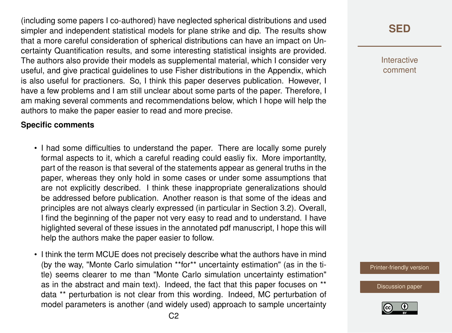(including some papers I co-authored) have neglected spherical distributions and used simpler and independent statistical models for plane strike and dip. The results show that a more careful consideration of spherical distributions can have an impact on Uncertainty Quantification results, and some interesting statistical insights are provided. The authors also provide their models as supplemental material, which I consider very useful, and give practical guidelines to use Fisher distributions in the Appendix, which is also useful for practioners. So, I think this paper deserves publication. However, I have a few problems and I am still unclear about some parts of the paper. Therefore, I am making several comments and recommendations below, which I hope will help the authors to make the paper easier to read and more precise.

#### **Specific comments**

- I had some difficulties to understand the paper. There are locally some purely formal aspects to it, which a careful reading could easliy fix. More importantlty, part of the reason is that several of the statements appear as general truths in the paper, whereas they only hold in some cases or under some assumptions that are not explicitly described. I think these inappropriate generalizations should be addressed before publication. Another reason is that some of the ideas and principles are not always clearly expressed (in particular in Section 3.2). Overall, I find the beginning of the paper not very easy to read and to understand. I have higlighted several of these issues in the annotated pdf manuscript, I hope this will help the authors make the paper easier to follow.
- I think the term MCUE does not precisely describe what the authors have in mind (by the way, "Monte Carlo simulation \*\*for\*\* uncertainty estimation" (as in the title) seems clearer to me than "Monte Carlo simulation uncertainty estimation" as in the abstract and main text). Indeed, the fact that this paper focuses on \*\* data \*\* perturbation is not clear from this wording. Indeed, MC perturbation of model parameters is another (and widely used) approach to sample uncertainty

# **[SED](https://www.solid-earth-discuss.net/)**

Interactive comment

[Printer-friendly version](https://www.solid-earth-discuss.net/se-2017-115/se-2017-115-RC3-print.pdf)

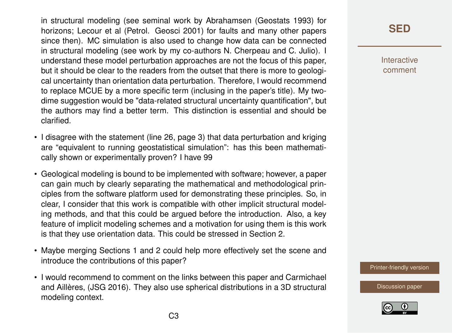in structural modeling (see seminal work by Abrahamsen (Geostats 1993) for horizons; Lecour et al (Petrol. Geosci 2001) for faults and many other papers since then). MC simulation is also used to change how data can be connected in structural modeling (see work by my co-authors N. Cherpeau and C. Julio). I understand these model perturbation approaches are not the focus of this paper, but it should be clear to the readers from the outset that there is more to geological uncertainty than orientation data perturbation. Therefore, I would recommend to replace MCUE by a more specific term (inclusing in the paper's title). My twodime suggestion would be "data-related structural uncertainty quantification", but the authors may find a better term. This distinction is essential and should be clarified.

- I disagree with the statement (line 26, page 3) that data perturbation and kriging are "equivalent to running geostatistical simulation": has this been mathematically shown or experimentally proven? I have 99
- Geological modeling is bound to be implemented with software; however, a paper can gain much by clearly separating the mathematical and methodological principles from the software platform used for demonstrating these principles. So, in clear, I consider that this work is compatible with other implicit structural modeling methods, and that this could be argued before the introduction. Also, a key feature of implicit modeling schemes and a motivation for using them is this work is that they use orientation data. This could be stressed in Section 2.
- Maybe merging Sections 1 and 2 could help more effectively set the scene and introduce the contributions of this paper?
- I would recommend to comment on the links between this paper and Carmichael and Aillères, (JSG 2016). They also use spherical distributions in a 3D structural modeling context.

### **[SED](https://www.solid-earth-discuss.net/)**

Interactive comment

[Printer-friendly version](https://www.solid-earth-discuss.net/se-2017-115/se-2017-115-RC3-print.pdf)

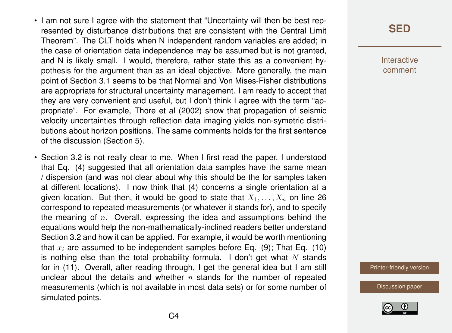- I am not sure I agree with the statement that "Uncertainty will then be best represented by disturbance distributions that are consistent with the Central Limit Theorem". The CLT holds when N independent random variables are added; in the case of orientation data independence may be assumed but is not granted, and N is likely small. I would, therefore, rather state this as a convenient hypothesis for the argument than as an ideal objective. More generally, the main point of Section 3.1 seems to be that Normal and Von Mises-Fisher distributions are appropriate for structural uncertainty management. I am ready to accept that they are very convenient and useful, but I don't think I agree with the term "appropriate". For example, Thore et al (2002) show that propagation of seismic velocity uncertainties through reflection data imaging yields non-symetric distributions about horizon positions. The same comments holds for the first sentence of the discussion (Section 5).
- Section 3.2 is not really clear to me. When I first read the paper, I understood that Eq. (4) suggested that all orientation data samples have the same mean / dispersion (and was not clear about why this should be the for samples taken at different locations). I now think that (4) concerns a single orientation at a given location. But then, it would be good to state that  $X_1, \ldots, X_n$  on line 26 correspond to repeated measurements (or whatever it stands for), and to specify the meaning of  $n$ . Overall, expressing the idea and assumptions behind the equations would help the non-mathematically-inclined readers better understand Section 3.2 and how it can be applied. For example, it would be worth mentioning that  $x_i$  are assumed to be independent samples before Eq. (9); That Eq. (10) is nothing else than the total probability formula. I don't get what N stands for in (11). Overall, after reading through, I get the general idea but I am still unclear about the details and whether  $n$  stands for the number of repeated measurements (which is not available in most data sets) or for some number of simulated points.

**[SED](https://www.solid-earth-discuss.net/)**

Interactive comment

[Printer-friendly version](https://www.solid-earth-discuss.net/se-2017-115/se-2017-115-RC3-print.pdf)

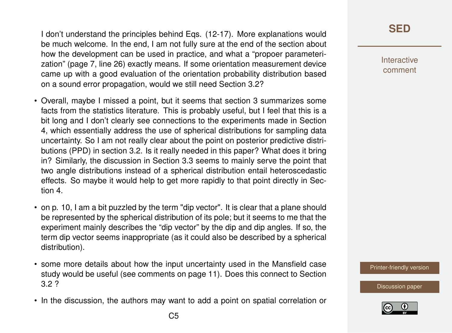I don't understand the principles behind Eqs. (12-17). More explanations would be much welcome. In the end, I am not fully sure at the end of the section about how the development can be used in practice, and what a "propoer parameterization" (page 7, line 26) exactly means. If some orientation measurement device came up with a good evaluation of the orientation probability distribution based on a sound error propagation, would we still need Section 3.2?

- Overall, maybe I missed a point, but it seems that section 3 summarizes some facts from the statistics literature. This is probably useful, but I feel that this is a bit long and I don't clearly see connections to the experiments made in Section 4, which essentially address the use of spherical distributions for sampling data uncertainty. So I am not really clear about the point on posterior predictive distributions (PPD) in section 3.2. Is it really needed in this paper? What does it bring in? Similarly, the discussion in Section 3.3 seems to mainly serve the point that two angle distributions instead of a spherical distribution entail heteroscedastic effects. So maybe it would help to get more rapidly to that point directly in Section 4.
- on p. 10, I am a bit puzzled by the term "dip vector". It is clear that a plane should be represented by the spherical distribution of its pole; but it seems to me that the experiment mainly describes the "dip vector" by the dip and dip angles. If so, the term dip vector seems inappropriate (as it could also be described by a spherical distribution).
- some more details about how the input uncertainty used in the Mansfield case study would be useful (see comments on page 11). Does this connect to Section 3.2 ?
- In the discussion, the authors may want to add a point on spatial correlation or

Interactive comment

[Printer-friendly version](https://www.solid-earth-discuss.net/se-2017-115/se-2017-115-RC3-print.pdf)